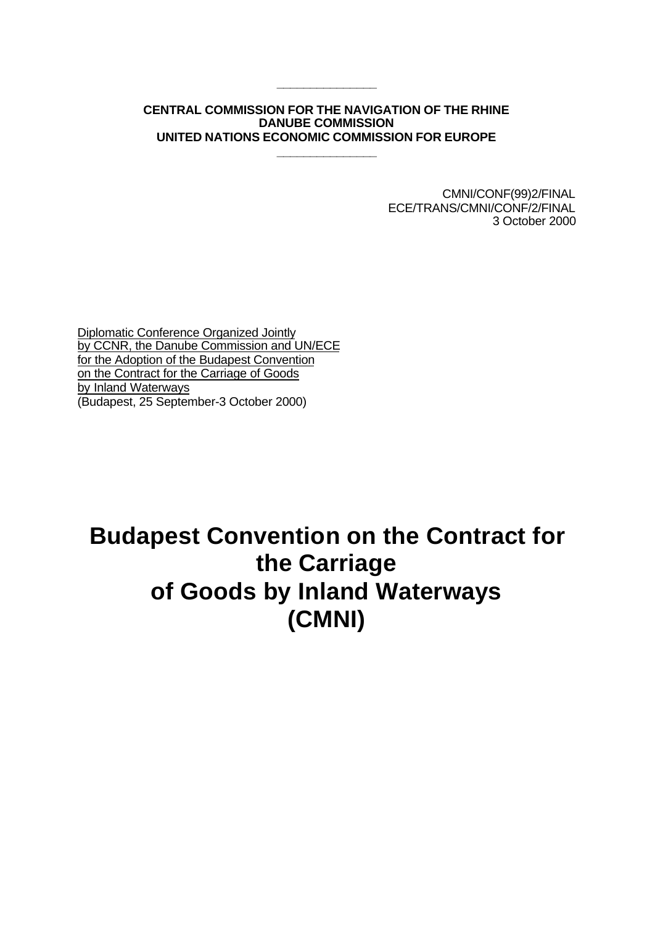# **CENTRAL COMMISSION FOR THE NAVIGATION OF THE RHINE DANUBE COMMISSION UNITED NATIONS ECONOMIC COMMISSION FOR EUROPE**

**\_\_\_\_\_\_\_\_\_\_\_\_\_\_\_**

**\_\_\_\_\_\_\_\_\_\_\_\_\_\_\_**

CMNI/CONF(99)2/FINAL ECE/TRANS/CMNI/CONF/2/FINAL 3 October 2000

Diplomatic Conference Organized Jointly by CCNR, the Danube Commission and UN/ECE for the Adoption of the Budapest Convention on the Contract for the Carriage of Goods by Inland Waterways (Budapest, 25 September-3 October 2000)

# **Budapest Convention on the Contract for the Carriage of Goods by Inland Waterways (CMNI)**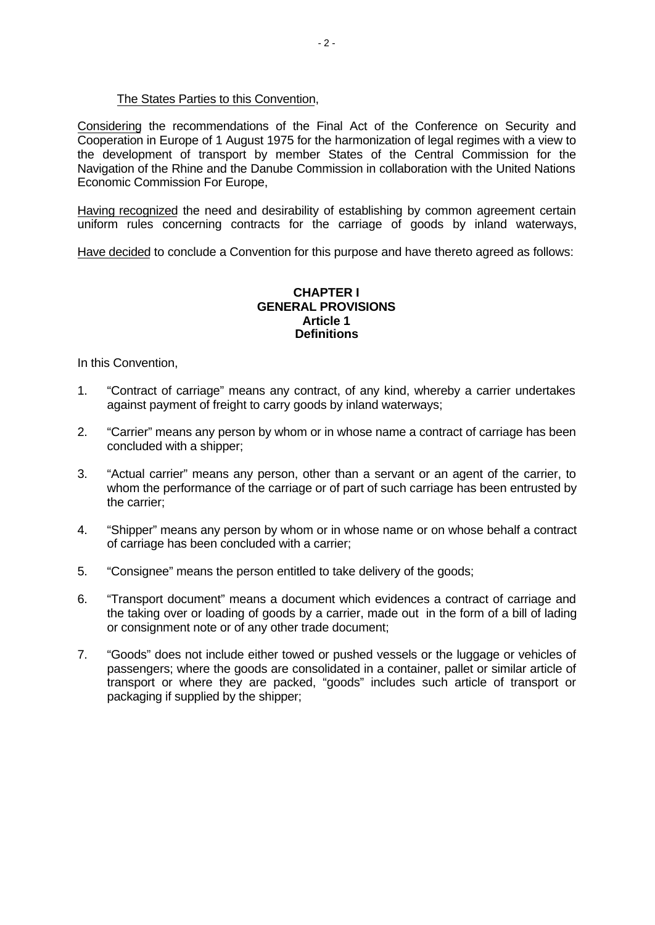# The States Parties to this Convention,

Considering the recommendations of the Final Act of the Conference on Security and Cooperation in Europe of 1 August 1975 for the harmonization of legal regimes with a view to the development of transport by member States of the Central Commission for the Navigation of the Rhine and the Danube Commission in collaboration with the United Nations Economic Commission For Europe,

Having recognized the need and desirability of establishing by common agreement certain uniform rules concerning contracts for the carriage of goods by inland waterways,

Have decided to conclude a Convention for this purpose and have thereto agreed as follows:

## **CHAPTER I GENERAL PROVISIONS Article 1 Definitions**

In this Convention,

- 1. "Contract of carriage" means any contract, of any kind, whereby a carrier undertakes against payment of freight to carry goods by inland waterways;
- 2. "Carrier" means any person by whom or in whose name a contract of carriage has been concluded with a shipper;
- 3. "Actual carrier" means any person, other than a servant or an agent of the carrier, to whom the performance of the carriage or of part of such carriage has been entrusted by the carrier;
- 4. "Shipper" means any person by whom or in whose name or on whose behalf a contract of carriage has been concluded with a carrier;
- 5. "Consignee" means the person entitled to take delivery of the goods;
- 6. "Transport document" means a document which evidences a contract of carriage and the taking over or loading of goods by a carrier, made out in the form of a bill of lading or consignment note or of any other trade document;
- 7. "Goods" does not include either towed or pushed vessels or the luggage or vehicles of passengers; where the goods are consolidated in a container, pallet or similar article of transport or where they are packed, "goods" includes such article of transport or packaging if supplied by the shipper;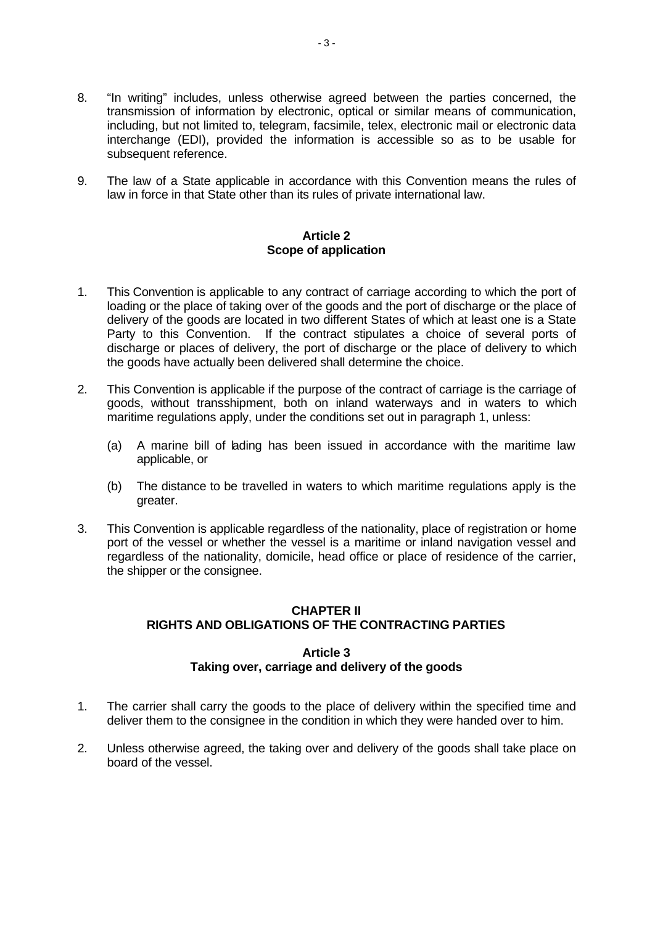- 8. "In writing" includes, unless otherwise agreed between the parties concerned, the transmission of information by electronic, optical or similar means of communication, including, but not limited to, telegram, facsimile, telex, electronic mail or electronic data interchange (EDI), provided the information is accessible so as to be usable for subsequent reference.
- 9. The law of a State applicable in accordance with this Convention means the rules of law in force in that State other than its rules of private international law.

## **Article 2 Scope of application**

- 1. This Convention is applicable to any contract of carriage according to which the port of loading or the place of taking over of the goods and the port of discharge or the place of delivery of the goods are located in two different States of which at least one is a State Party to this Convention. If the contract stipulates a choice of several ports of discharge or places of delivery, the port of discharge or the place of delivery to which the goods have actually been delivered shall determine the choice.
- 2. This Convention is applicable if the purpose of the contract of carriage is the carriage of goods, without transshipment, both on inland waterways and in waters to which maritime regulations apply, under the conditions set out in paragraph 1, unless:
	- (a) A marine bill of lading has been issued in accordance with the maritime law applicable, or
	- (b) The distance to be travelled in waters to which maritime regulations apply is the greater.
- 3. This Convention is applicable regardless of the nationality, place of registration or home port of the vessel or whether the vessel is a maritime or inland navigation vessel and regardless of the nationality, domicile, head office or place of residence of the carrier, the shipper or the consignee.

# **CHAPTER II RIGHTS AND OBLIGATIONS OF THE CONTRACTING PARTIES**

# **Article 3 Taking over, carriage and delivery of the goods**

- 1. The carrier shall carry the goods to the place of delivery within the specified time and deliver them to the consignee in the condition in which they were handed over to him.
- 2. Unless otherwise agreed, the taking over and delivery of the goods shall take place on board of the vessel.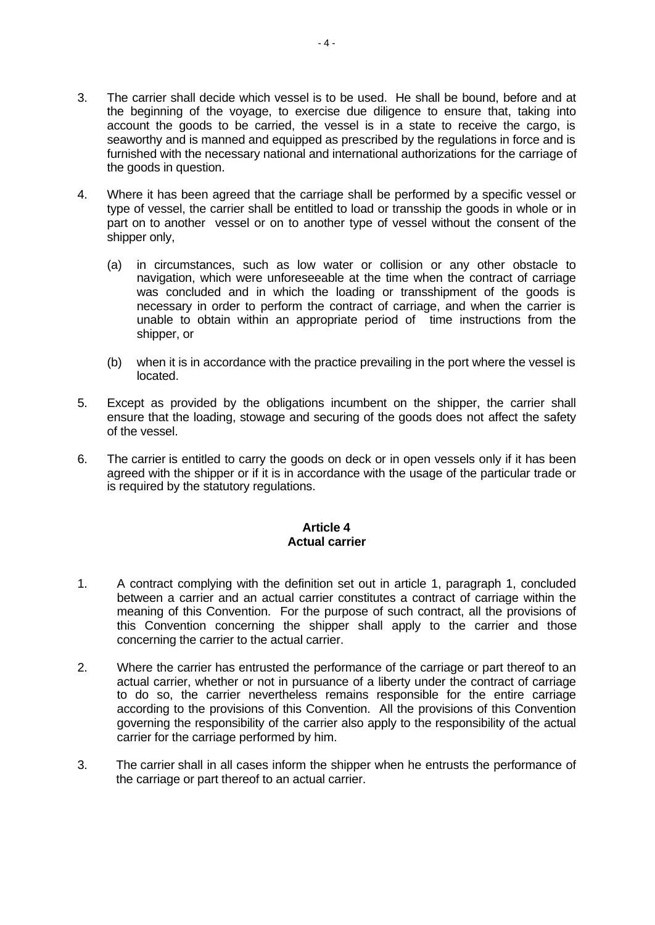- 3. The carrier shall decide which vessel is to be used. He shall be bound, before and at the beginning of the voyage, to exercise due diligence to ensure that, taking into account the goods to be carried, the vessel is in a state to receive the cargo, is seaworthy and is manned and equipped as prescribed by the regulations in force and is furnished with the necessary national and international authorizations for the carriage of the goods in question.
- 4. Where it has been agreed that the carriage shall be performed by a specific vessel or type of vessel, the carrier shall be entitled to load or transship the goods in whole or in part on to another vessel or on to another type of vessel without the consent of the shipper only,
	- (a) in circumstances, such as low water or collision or any other obstacle to navigation, which were unforeseeable at the time when the contract of carriage was concluded and in which the loading or transshipment of the goods is necessary in order to perform the contract of carriage, and when the carrier is unable to obtain within an appropriate period of time instructions from the shipper, or
	- (b) when it is in accordance with the practice prevailing in the port where the vessel is located.
- 5. Except as provided by the obligations incumbent on the shipper, the carrier shall ensure that the loading, stowage and securing of the goods does not affect the safety of the vessel.
- 6. The carrier is entitled to carry the goods on deck or in open vessels only if it has been agreed with the shipper or if it is in accordance with the usage of the particular trade or is required by the statutory regulations.

# **Article 4 Actual carrier**

- 1. A contract complying with the definition set out in article 1, paragraph 1, concluded between a carrier and an actual carrier constitutes a contract of carriage within the meaning of this Convention. For the purpose of such contract, all the provisions of this Convention concerning the shipper shall apply to the carrier and those concerning the carrier to the actual carrier.
- 2. Where the carrier has entrusted the performance of the carriage or part thereof to an actual carrier, whether or not in pursuance of a liberty under the contract of carriage to do so, the carrier nevertheless remains responsible for the entire carriage according to the provisions of this Convention. All the provisions of this Convention governing the responsibility of the carrier also apply to the responsibility of the actual carrier for the carriage performed by him.
- 3. The carrier shall in all cases inform the shipper when he entrusts the performance of the carriage or part thereof to an actual carrier.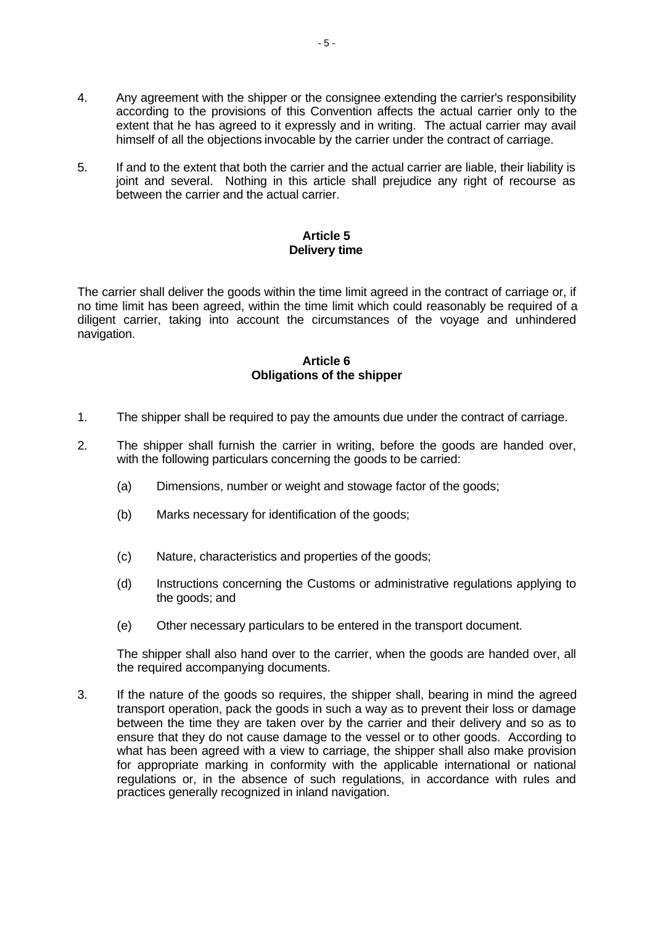- 4. Any agreement with the shipper or the consignee extending the carrier's responsibility according to the provisions of this Convention affects the actual carrier only to the extent that he has agreed to it expressly and in writing. The actual carrier may avail himself of all the objections invocable by the carrier under the contract of carriage.
- 5. If and to the extent that both the carrier and the actual carrier are liable, their liability is joint and several. Nothing in this article shall prejudice any right of recourse as between the carrier and the actual carrier.

# **Article 5 Delivery time**

The carrier shall deliver the goods within the time limit agreed in the contract of carriage or, if no time limit has been agreed, within the time limit which could reasonably be required of a diligent carrier, taking into account the circumstances of the voyage and unhindered navigation.

# **Article 6 Obligations of the shipper**

- 1. The shipper shall be required to pay the amounts due under the contract of carriage.
- 2. The shipper shall furnish the carrier in writing, before the goods are handed over, with the following particulars concerning the goods to be carried:
	- (a) Dimensions, number or weight and stowage factor of the goods;
	- (b) Marks necessary for identification of the goods;
	- (c) Nature, characteristics and properties of the goods;
	- (d) Instructions concerning the Customs or administrative regulations applying to the goods; and
	- (e) Other necessary particulars to be entered in the transport document.

The shipper shall also hand over to the carrier, when the goods are handed over, all the required accompanying documents.

3. If the nature of the goods so requires, the shipper shall, bearing in mind the agreed transport operation, pack the goods in such a way as to prevent their loss or damage between the time they are taken over by the carrier and their delivery and so as to ensure that they do not cause damage to the vessel or to other goods. According to what has been agreed with a view to carriage, the shipper shall also make provision for appropriate marking in conformity with the applicable international or national regulations or, in the absence of such regulations, in accordance with rules and practices generally recognized in inland navigation.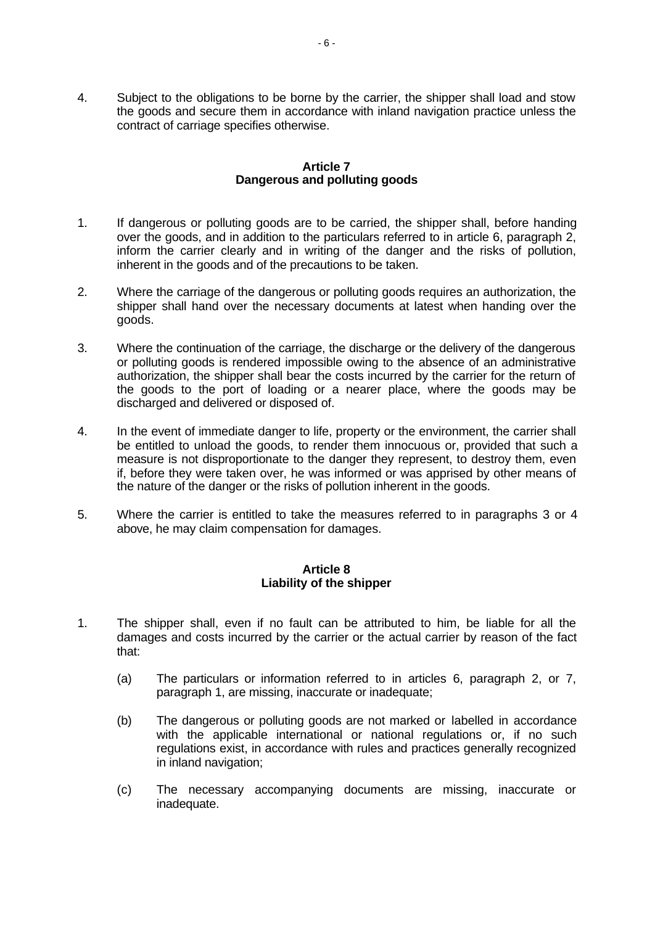4. Subject to the obligations to be borne by the carrier, the shipper shall load and stow the goods and secure them in accordance with inland navigation practice unless the contract of carriage specifies otherwise.

#### **Article 7 Dangerous and polluting goods**

- 1. If dangerous or polluting goods are to be carried, the shipper shall, before handing over the goods, and in addition to the particulars referred to in article 6, paragraph 2, inform the carrier clearly and in writing of the danger and the risks of pollution, inherent in the goods and of the precautions to be taken.
- 2. Where the carriage of the dangerous or polluting goods requires an authorization, the shipper shall hand over the necessary documents at latest when handing over the goods.
- 3. Where the continuation of the carriage, the discharge or the delivery of the dangerous or polluting goods is rendered impossible owing to the absence of an administrative authorization, the shipper shall bear the costs incurred by the carrier for the return of the goods to the port of loading or a nearer place, where the goods may be discharged and delivered or disposed of.
- 4. In the event of immediate danger to life, property or the environment, the carrier shall be entitled to unload the goods, to render them innocuous or, provided that such a measure is not disproportionate to the danger they represent, to destroy them, even if, before they were taken over, he was informed or was apprised by other means of the nature of the danger or the risks of pollution inherent in the goods.
- 5. Where the carrier is entitled to take the measures referred to in paragraphs 3 or 4 above, he may claim compensation for damages.

# **Article 8 Liability of the shipper**

- 1. The shipper shall, even if no fault can be attributed to him, be liable for all the damages and costs incurred by the carrier or the actual carrier by reason of the fact that:
	- (a) The particulars or information referred to in articles 6, paragraph 2, or 7, paragraph 1, are missing, inaccurate or inadequate;
	- (b) The dangerous or polluting goods are not marked or labelled in accordance with the applicable international or national regulations or, if no such regulations exist, in accordance with rules and practices generally recognized in inland navigation;
	- (c) The necessary accompanying documents are missing, inaccurate or inadequate.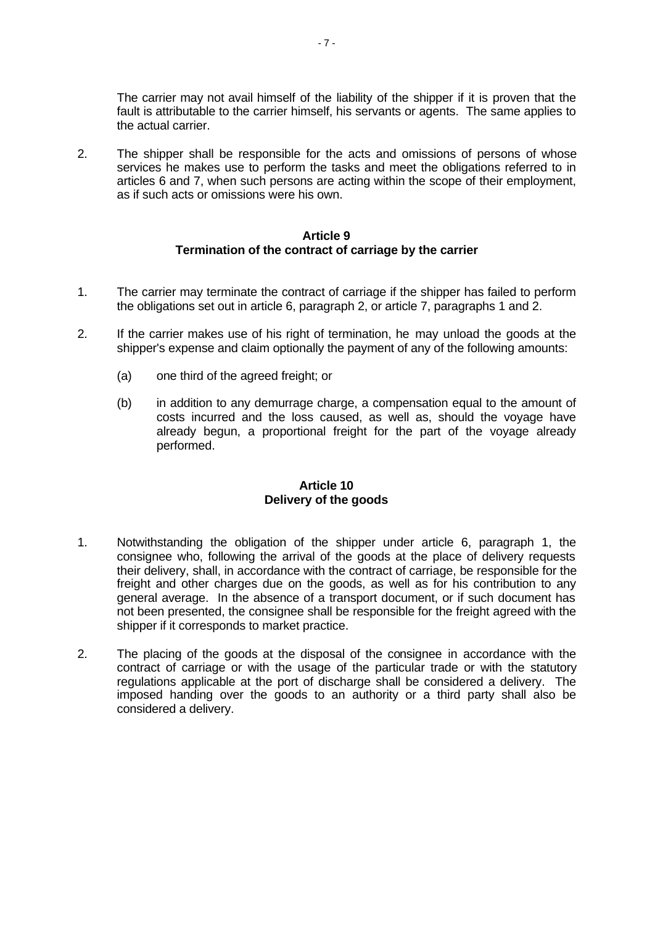The carrier may not avail himself of the liability of the shipper if it is proven that the fault is attributable to the carrier himself, his servants or agents. The same applies to the actual carrier.

2. The shipper shall be responsible for the acts and omissions of persons of whose services he makes use to perform the tasks and meet the obligations referred to in articles 6 and 7, when such persons are acting within the scope of their employment, as if such acts or omissions were his own.

# **Article 9 Termination of the contract of carriage by the carrier**

- 1. The carrier may terminate the contract of carriage if the shipper has failed to perform the obligations set out in article 6, paragraph 2, or article 7, paragraphs 1 and 2.
- 2. If the carrier makes use of his right of termination, he may unload the goods at the shipper's expense and claim optionally the payment of any of the following amounts:
	- (a) one third of the agreed freight; or
	- (b) in addition to any demurrage charge, a compensation equal to the amount of costs incurred and the loss caused, as well as, should the voyage have already begun, a proportional freight for the part of the voyage already performed.

#### **Article 10 Delivery of the goods**

- 1. Notwithstanding the obligation of the shipper under article 6, paragraph 1, the consignee who, following the arrival of the goods at the place of delivery requests their delivery, shall, in accordance with the contract of carriage, be responsible for the freight and other charges due on the goods, as well as for his contribution to any general average. In the absence of a transport document, or if such document has not been presented, the consignee shall be responsible for the freight agreed with the shipper if it corresponds to market practice.
- 2. The placing of the goods at the disposal of the consignee in accordance with the contract of carriage or with the usage of the particular trade or with the statutory regulations applicable at the port of discharge shall be considered a delivery. The imposed handing over the goods to an authority or a third party shall also be considered a delivery.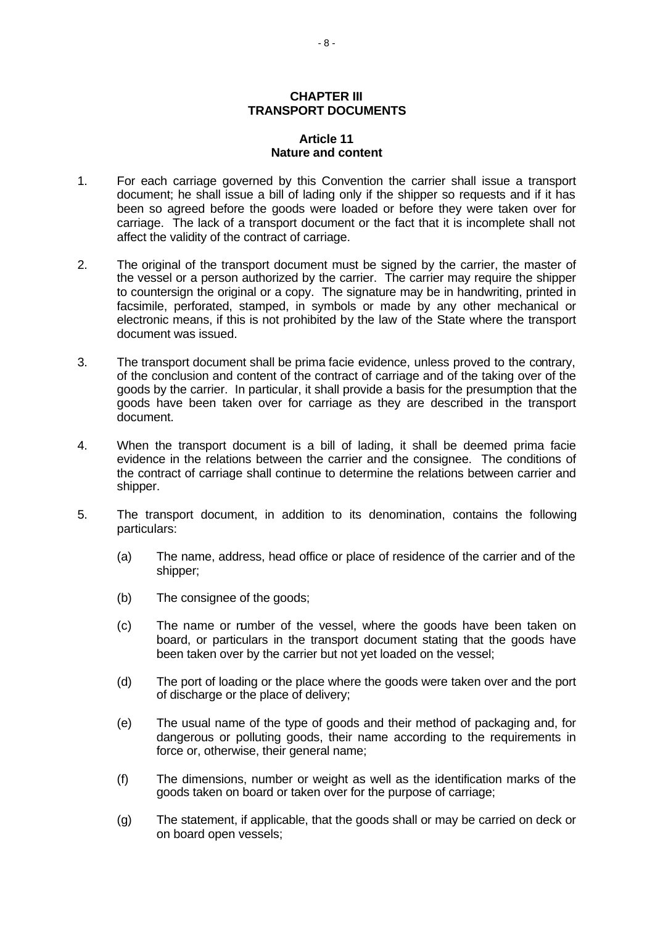# **CHAPTER III TRANSPORT DOCUMENTS**

#### **Article 11 Nature and content**

- 1. For each carriage governed by this Convention the carrier shall issue a transport document; he shall issue a bill of lading only if the shipper so requests and if it has been so agreed before the goods were loaded or before they were taken over for carriage. The lack of a transport document or the fact that it is incomplete shall not affect the validity of the contract of carriage.
- 2. The original of the transport document must be signed by the carrier, the master of the vessel or a person authorized by the carrier. The carrier may require the shipper to countersign the original or a copy. The signature may be in handwriting, printed in facsimile, perforated, stamped, in symbols or made by any other mechanical or electronic means, if this is not prohibited by the law of the State where the transport document was issued.
- 3. The transport document shall be prima facie evidence, unless proved to the contrary, of the conclusion and content of the contract of carriage and of the taking over of the goods by the carrier. In particular, it shall provide a basis for the presumption that the goods have been taken over for carriage as they are described in the transport document.
- 4. When the transport document is a bill of lading, it shall be deemed prima facie evidence in the relations between the carrier and the consignee. The conditions of the contract of carriage shall continue to determine the relations between carrier and shipper.
- 5. The transport document, in addition to its denomination, contains the following particulars:
	- (a) The name, address, head office or place of residence of the carrier and of the shipper;
	- (b) The consignee of the goods;
	- (c) The name or number of the vessel, where the goods have been taken on board, or particulars in the transport document stating that the goods have been taken over by the carrier but not yet loaded on the vessel;
	- (d) The port of loading or the place where the goods were taken over and the port of discharge or the place of delivery;
	- (e) The usual name of the type of goods and their method of packaging and, for dangerous or polluting goods, their name according to the requirements in force or, otherwise, their general name;
	- (f) The dimensions, number or weight as well as the identification marks of the goods taken on board or taken over for the purpose of carriage;
	- (g) The statement, if applicable, that the goods shall or may be carried on deck or on board open vessels;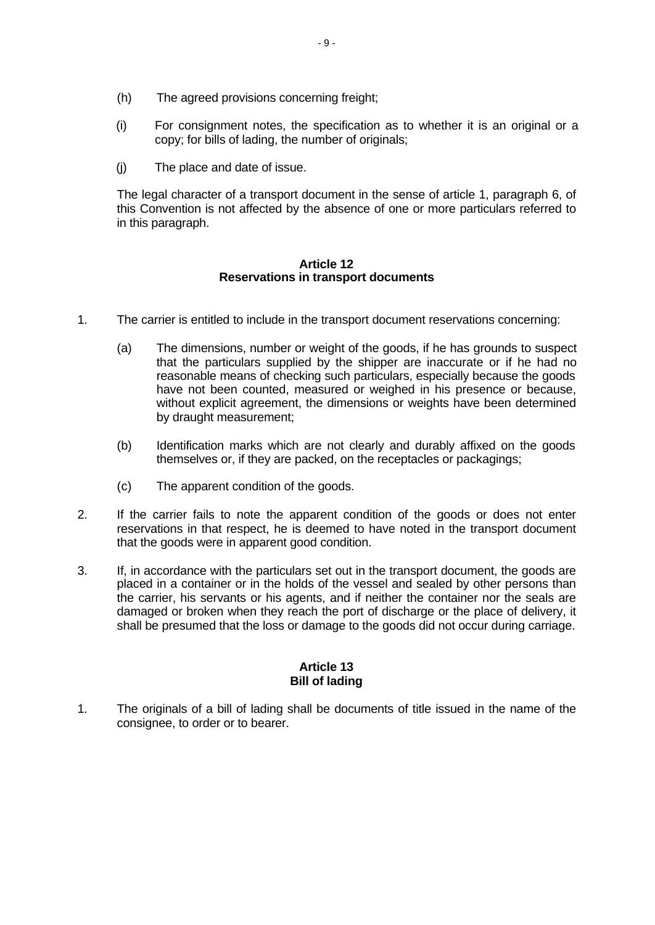- (h) The agreed provisions concerning freight;
- (i) For consignment notes, the specification as to whether it is an original or a copy; for bills of lading, the number of originals;
- (j) The place and date of issue.

The legal character of a transport document in the sense of article 1, paragraph 6, of this Convention is not affected by the absence of one or more particulars referred to in this paragraph.

#### **Article 12 Reservations in transport documents**

- 1. The carrier is entitled to include in the transport document reservations concerning:
	- (a) The dimensions, number or weight of the goods, if he has grounds to suspect that the particulars supplied by the shipper are inaccurate or if he had no reasonable means of checking such particulars, especially because the goods have not been counted, measured or weighed in his presence or because, without explicit agreement, the dimensions or weights have been determined by draught measurement;
	- (b) Identification marks which are not clearly and durably affixed on the goods themselves or, if they are packed, on the receptacles or packagings;
	- (c) The apparent condition of the goods.
- 2. If the carrier fails to note the apparent condition of the goods or does not enter reservations in that respect, he is deemed to have noted in the transport document that the goods were in apparent good condition.
- 3. If, in accordance with the particulars set out in the transport document, the goods are placed in a container or in the holds of the vessel and sealed by other persons than the carrier, his servants or his agents, and if neither the container nor the seals are damaged or broken when they reach the port of discharge or the place of delivery, it shall be presumed that the loss or damage to the goods did not occur during carriage.

# **Article 13 Bill of lading**

1. The originals of a bill of lading shall be documents of title issued in the name of the consignee, to order or to bearer.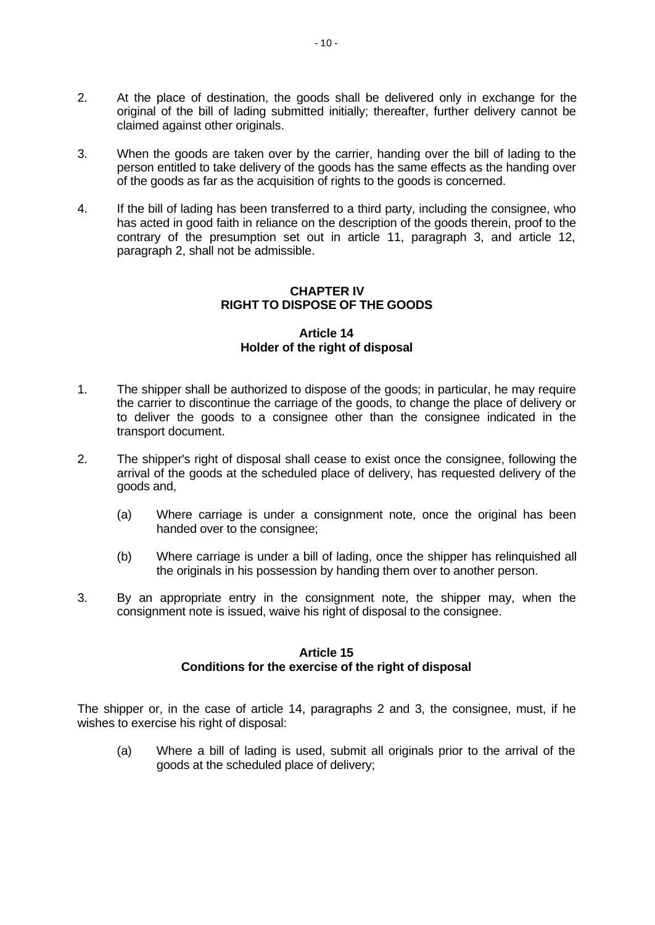- 2. At the place of destination, the goods shall be delivered only in exchange for the original of the bill of lading submitted initially; thereafter, further delivery cannot be claimed against other originals.
- 3. When the goods are taken over by the carrier, handing over the bill of lading to the person entitled to take delivery of the goods has the same effects as the handing over of the goods as far as the acquisition of rights to the goods is concerned.
- 4. If the bill of lading has been transferred to a third party, including the consignee, who has acted in good faith in reliance on the description of the goods therein, proof to the contrary of the presumption set out in article 11, paragraph 3, and article 12, paragraph 2, shall not be admissible.

# **CHAPTER IV RIGHT TO DISPOSE OF THE GOODS**

# **Article 14 Holder of the right of disposal**

- 1. The shipper shall be authorized to dispose of the goods; in particular, he may require the carrier to discontinue the carriage of the goods, to change the place of delivery or to deliver the goods to a consignee other than the consignee indicated in the transport document.
- 2. The shipper's right of disposal shall cease to exist once the consignee, following the arrival of the goods at the scheduled place of delivery, has requested delivery of the goods and,
	- (a) Where carriage is under a consignment note, once the original has been handed over to the consignee;
	- (b) Where carriage is under a bill of lading, once the shipper has relinquished all the originals in his possession by handing them over to another person.
- 3. By an appropriate entry in the consignment note, the shipper may, when the consignment note is issued, waive his right of disposal to the consignee.

#### **Article 15**

# **Conditions for the exercise of the right of disposal**

The shipper or, in the case of article 14, paragraphs 2 and 3, the consignee, must, if he wishes to exercise his right of disposal:

(a) Where a bill of lading is used, submit all originals prior to the arrival of the goods at the scheduled place of delivery;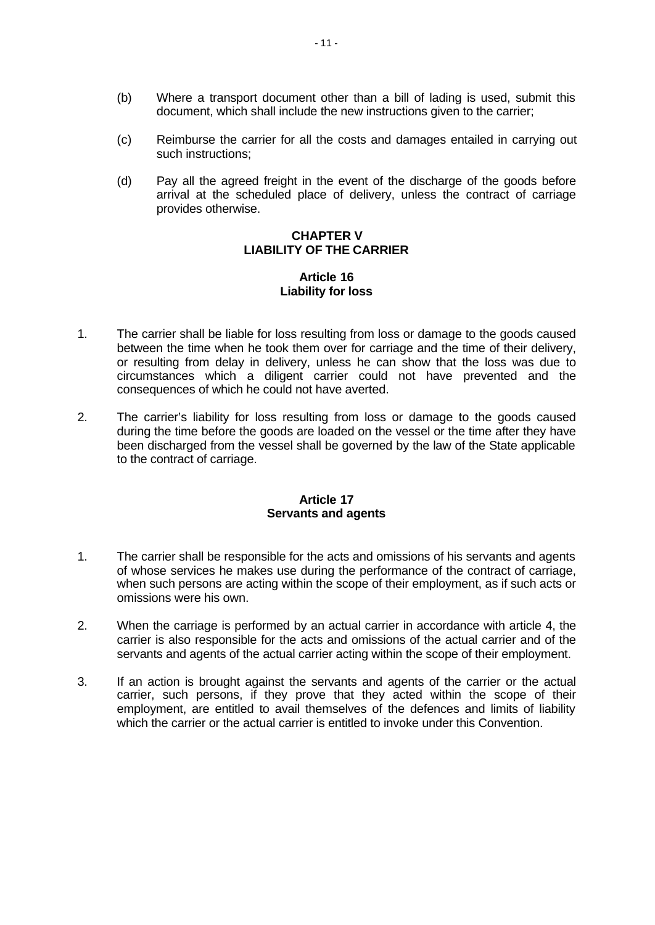- (b) Where a transport document other than a bill of lading is used, submit this document, which shall include the new instructions given to the carrier;
- (c) Reimburse the carrier for all the costs and damages entailed in carrying out such instructions;
- (d) Pay all the agreed freight in the event of the discharge of the goods before arrival at the scheduled place of delivery, unless the contract of carriage provides otherwise.

## **CHAPTER V LIABILITY OF THE CARRIER**

# **Article 16 Liability for loss**

- 1. The carrier shall be liable for loss resulting from loss or damage to the goods caused between the time when he took them over for carriage and the time of their delivery, or resulting from delay in delivery, unless he can show that the loss was due to circumstances which a diligent carrier could not have prevented and the consequences of which he could not have averted.
- 2. The carrier's liability for loss resulting from loss or damage to the goods caused during the time before the goods are loaded on the vessel or the time after they have been discharged from the vessel shall be governed by the law of the State applicable to the contract of carriage.

# **Article 17 Servants and agents**

- 1. The carrier shall be responsible for the acts and omissions of his servants and agents of whose services he makes use during the performance of the contract of carriage, when such persons are acting within the scope of their employment, as if such acts or omissions were his own.
- 2. When the carriage is performed by an actual carrier in accordance with article 4, the carrier is also responsible for the acts and omissions of the actual carrier and of the servants and agents of the actual carrier acting within the scope of their employment.
- 3. If an action is brought against the servants and agents of the carrier or the actual carrier, such persons, if they prove that they acted within the scope of their employment, are entitled to avail themselves of the defences and limits of liability which the carrier or the actual carrier is entitled to invoke under this Convention.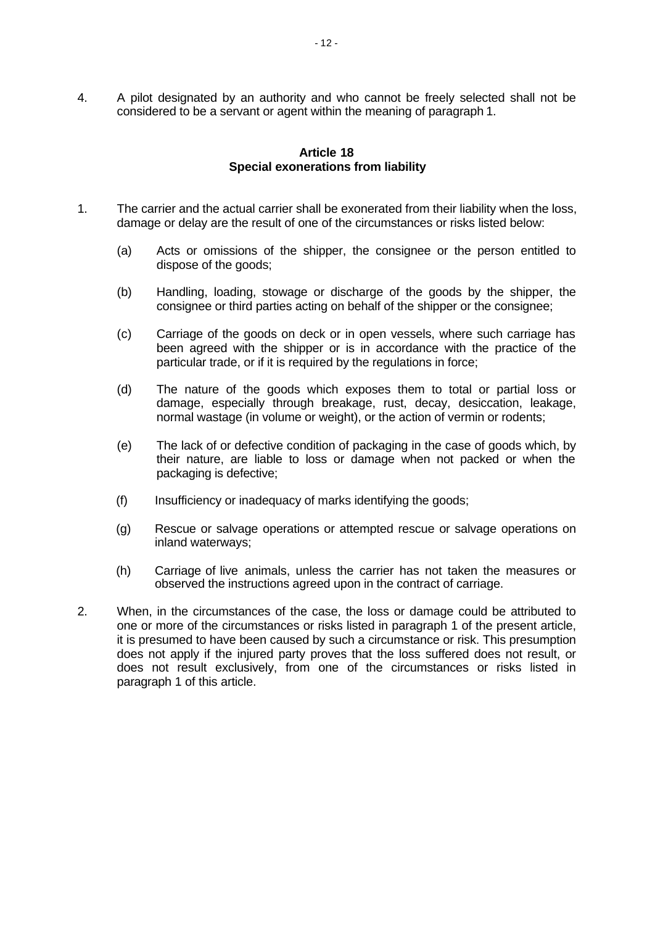4. A pilot designated by an authority and who cannot be freely selected shall not be considered to be a servant or agent within the meaning of paragraph 1.

# **Article 18 Special exonerations from liability**

- 1. The carrier and the actual carrier shall be exonerated from their liability when the loss, damage or delay are the result of one of the circumstances or risks listed below:
	- (a) Acts or omissions of the shipper, the consignee or the person entitled to dispose of the goods;
	- (b) Handling, loading, stowage or discharge of the goods by the shipper, the consignee or third parties acting on behalf of the shipper or the consignee;
	- (c) Carriage of the goods on deck or in open vessels, where such carriage has been agreed with the shipper or is in accordance with the practice of the particular trade, or if it is required by the regulations in force;
	- (d) The nature of the goods which exposes them to total or partial loss or damage, especially through breakage, rust, decay, desiccation, leakage, normal wastage (in volume or weight), or the action of vermin or rodents;
	- (e) The lack of or defective condition of packaging in the case of goods which, by their nature, are liable to loss or damage when not packed or when the packaging is defective;
	- (f) Insufficiency or inadequacy of marks identifying the goods;
	- (g) Rescue or salvage operations or attempted rescue or salvage operations on inland waterways;
	- (h) Carriage of live animals, unless the carrier has not taken the measures or observed the instructions agreed upon in the contract of carriage.
- 2. When, in the circumstances of the case, the loss or damage could be attributed to one or more of the circumstances or risks listed in paragraph 1 of the present article, it is presumed to have been caused by such a circumstance or risk. This presumption does not apply if the injured party proves that the loss suffered does not result, or does not result exclusively, from one of the circumstances or risks listed in paragraph 1 of this article.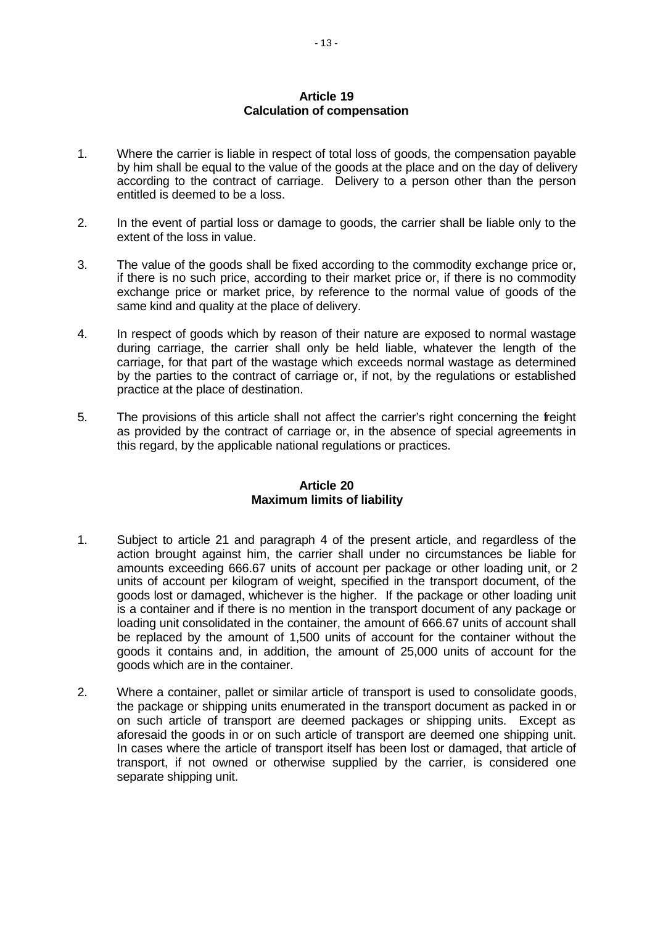# **Article 19 Calculation of compensation**

- 1. Where the carrier is liable in respect of total loss of goods, the compensation payable by him shall be equal to the value of the goods at the place and on the day of delivery according to the contract of carriage. Delivery to a person other than the person entitled is deemed to be a loss.
- 2. In the event of partial loss or damage to goods, the carrier shall be liable only to the extent of the loss in value.
- 3. The value of the goods shall be fixed according to the commodity exchange price or, if there is no such price, according to their market price or, if there is no commodity exchange price or market price, by reference to the normal value of goods of the same kind and quality at the place of delivery.
- 4. In respect of goods which by reason of their nature are exposed to normal wastage during carriage, the carrier shall only be held liable, whatever the length of the carriage, for that part of the wastage which exceeds normal wastage as determined by the parties to the contract of carriage or, if not, by the regulations or established practice at the place of destination.
- 5. The provisions of this article shall not affect the carrier's right concerning the freight as provided by the contract of carriage or, in the absence of special agreements in this regard, by the applicable national regulations or practices.

#### **Article 20 Maximum limits of liability**

- 1. Subject to article 21 and paragraph 4 of the present article, and regardless of the action brought against him, the carrier shall under no circumstances be liable for amounts exceeding 666.67 units of account per package or other loading unit, or 2 units of account per kilogram of weight, specified in the transport document, of the goods lost or damaged, whichever is the higher. If the package or other loading unit is a container and if there is no mention in the transport document of any package or loading unit consolidated in the container, the amount of 666.67 units of account shall be replaced by the amount of 1,500 units of account for the container without the goods it contains and, in addition, the amount of 25,000 units of account for the goods which are in the container.
- 2. Where a container, pallet or similar article of transport is used to consolidate goods, the package or shipping units enumerated in the transport document as packed in or on such article of transport are deemed packages or shipping units. Except as aforesaid the goods in or on such article of transport are deemed one shipping unit. In cases where the article of transport itself has been lost or damaged, that article of transport, if not owned or otherwise supplied by the carrier, is considered one separate shipping unit.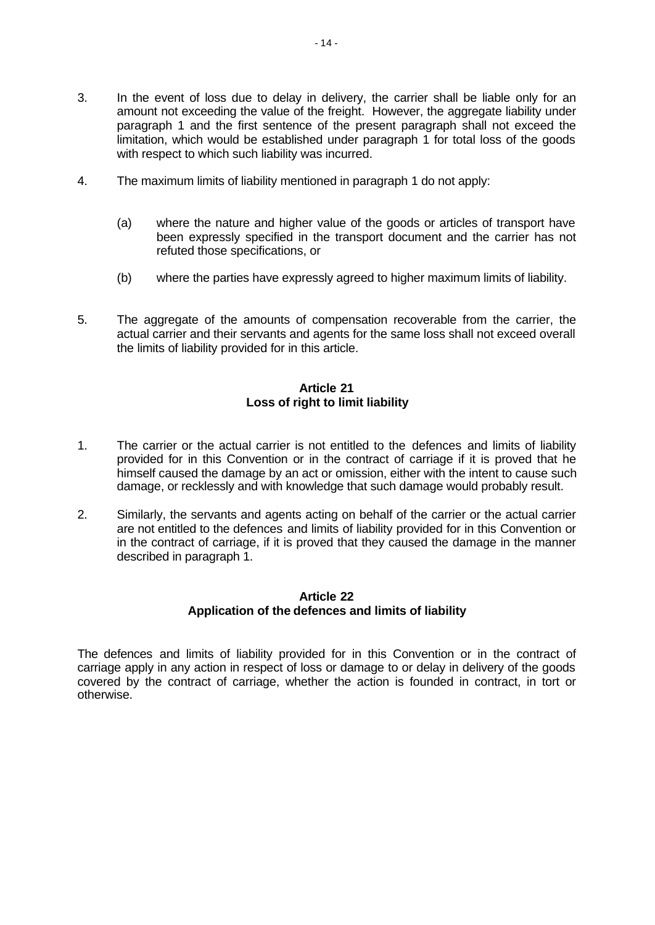- 4. The maximum limits of liability mentioned in paragraph 1 do not apply:
	- (a) where the nature and higher value of the goods or articles of transport have been expressly specified in the transport document and the carrier has not refuted those specifications, or
	- (b) where the parties have expressly agreed to higher maximum limits of liability.
- 5. The aggregate of the amounts of compensation recoverable from the carrier, the actual carrier and their servants and agents for the same loss shall not exceed overall the limits of liability provided for in this article.

# **Article 21 Loss of right to limit liability**

- 1. The carrier or the actual carrier is not entitled to the defences and limits of liability provided for in this Convention or in the contract of carriage if it is proved that he himself caused the damage by an act or omission, either with the intent to cause such damage, or recklessly and with knowledge that such damage would probably result.
- 2. Similarly, the servants and agents acting on behalf of the carrier or the actual carrier are not entitled to the defences and limits of liability provided for in this Convention or in the contract of carriage, if it is proved that they caused the damage in the manner described in paragraph 1.

# **Article 22 Application of the defences and limits of liability**

The defences and limits of liability provided for in this Convention or in the contract of carriage apply in any action in respect of loss or damage to or delay in delivery of the goods covered by the contract of carriage, whether the action is founded in contract, in tort or otherwise.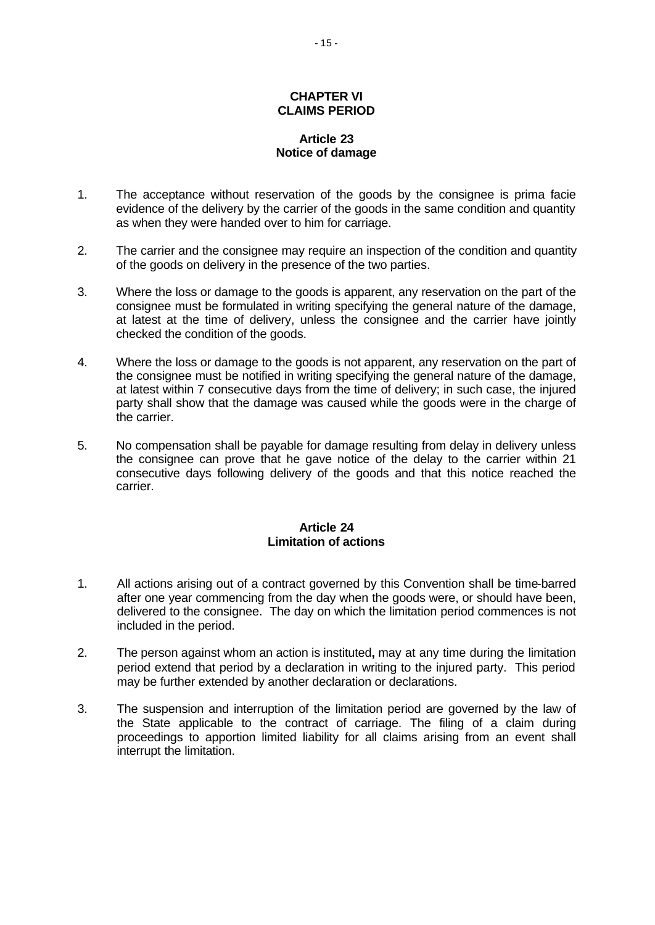#### **CHAPTER VI CLAIMS PERIOD**

# **Article 23 Notice of damage**

- 1. The acceptance without reservation of the goods by the consignee is prima facie evidence of the delivery by the carrier of the goods in the same condition and quantity as when they were handed over to him for carriage.
- 2. The carrier and the consignee may require an inspection of the condition and quantity of the goods on delivery in the presence of the two parties.
- 3. Where the loss or damage to the goods is apparent, any reservation on the part of the consignee must be formulated in writing specifying the general nature of the damage, at latest at the time of delivery, unless the consignee and the carrier have jointly checked the condition of the goods.
- 4. Where the loss or damage to the goods is not apparent, any reservation on the part of the consignee must be notified in writing specifying the general nature of the damage, at latest within 7 consecutive days from the time of delivery; in such case, the injured party shall show that the damage was caused while the goods were in the charge of the carrier.
- 5. No compensation shall be payable for damage resulting from delay in delivery unless the consignee can prove that he gave notice of the delay to the carrier within 21 consecutive days following delivery of the goods and that this notice reached the carrier.

# **Article 24 Limitation of actions**

- 1. All actions arising out of a contract governed by this Convention shall be time-barred after one year commencing from the day when the goods were, or should have been, delivered to the consignee. The day on which the limitation period commences is not included in the period.
- 2. The person against whom an action is instituted**,** may at any time during the limitation period extend that period by a declaration in writing to the injured party. This period may be further extended by another declaration or declarations.
- 3. The suspension and interruption of the limitation period are governed by the law of the State applicable to the contract of carriage. The filing of a claim during proceedings to apportion limited liability for all claims arising from an event shall interrupt the limitation.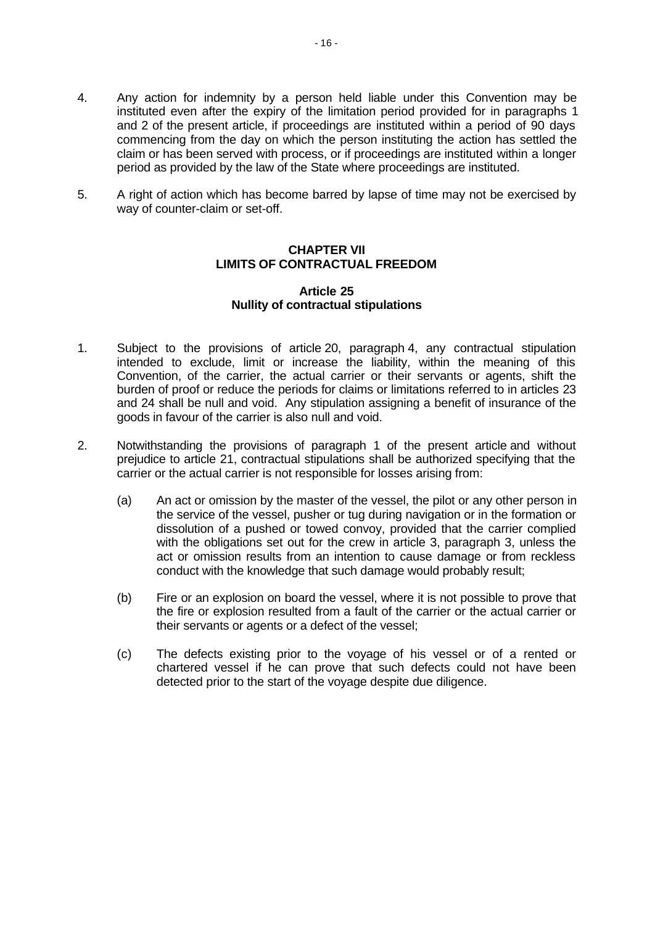- 4. Any action for indemnity by a person held liable under this Convention may be instituted even after the expiry of the limitation period provided for in paragraphs 1 and 2 of the present article, if proceedings are instituted within a period of 90 days commencing from the day on which the person instituting the action has settled the claim or has been served with process, or if proceedings are instituted within a longer period as provided by the law of the State where proceedings are instituted.
- 5. A right of action which has become barred by lapse of time may not be exercised by way of counter-claim or set-off.

# **CHAPTER VII LIMITS OF CONTRACTUAL FREEDOM**

#### **Article 25 Nullity of contractual stipulations**

- 1. Subject to the provisions of article 20, paragraph 4, any contractual stipulation intended to exclude, limit or increase the liability, within the meaning of this Convention, of the carrier, the actual carrier or their servants or agents, shift the burden of proof or reduce the periods for claims or limitations referred to in articles 23 and 24 shall be null and void. Any stipulation assigning a benefit of insurance of the goods in favour of the carrier is also null and void.
- 2. Notwithstanding the provisions of paragraph 1 of the present article and without prejudice to article 21, contractual stipulations shall be authorized specifying that the carrier or the actual carrier is not responsible for losses arising from:
	- (a) An act or omission by the master of the vessel, the pilot or any other person in the service of the vessel, pusher or tug during navigation or in the formation or dissolution of a pushed or towed convoy, provided that the carrier complied with the obligations set out for the crew in article 3, paragraph 3, unless the act or omission results from an intention to cause damage or from reckless conduct with the knowledge that such damage would probably result;
	- (b) Fire or an explosion on board the vessel, where it is not possible to prove that the fire or explosion resulted from a fault of the carrier or the actual carrier or their servants or agents or a defect of the vessel;
	- (c) The defects existing prior to the voyage of his vessel or of a rented or chartered vessel if he can prove that such defects could not have been detected prior to the start of the voyage despite due diligence.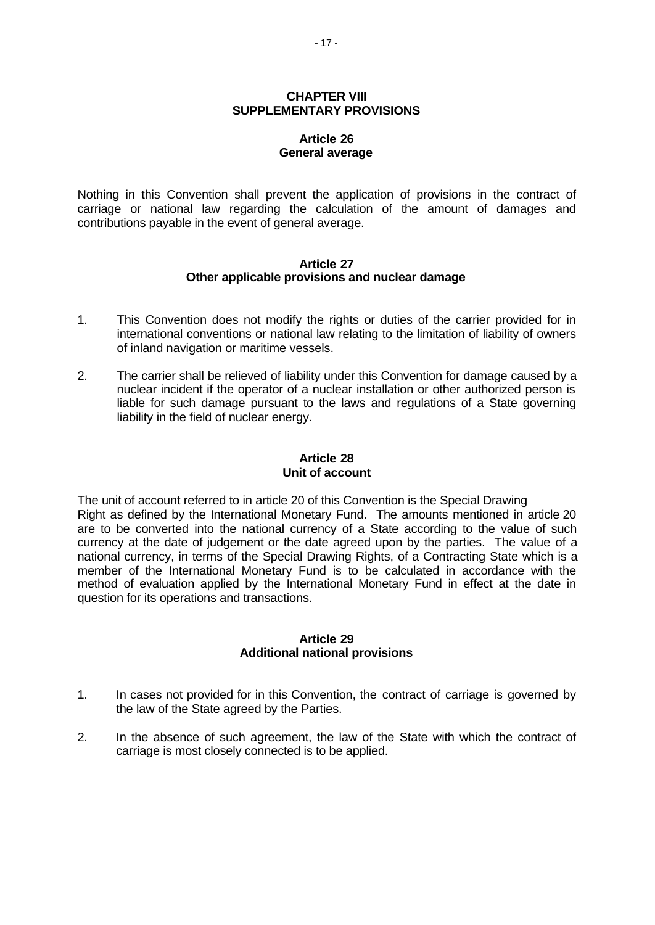# **CHAPTER VIII SUPPLEMENTARY PROVISIONS**

# **Article 26 General average**

Nothing in this Convention shall prevent the application of provisions in the contract of carriage or national law regarding the calculation of the amount of damages and contributions payable in the event of general average.

#### **Article 27 Other applicable provisions and nuclear damage**

- 1. This Convention does not modify the rights or duties of the carrier provided for in international conventions or national law relating to the limitation of liability of owners of inland navigation or maritime vessels.
- 2. The carrier shall be relieved of liability under this Convention for damage caused by a nuclear incident if the operator of a nuclear installation or other authorized person is liable for such damage pursuant to the laws and regulations of a State governing liability in the field of nuclear energy.

# **Article 28 Unit of account**

The unit of account referred to in article 20 of this Convention is the Special Drawing Right as defined by the International Monetary Fund. The amounts mentioned in article 20 are to be converted into the national currency of a State according to the value of such currency at the date of judgement or the date agreed upon by the parties. The value of a national currency, in terms of the Special Drawing Rights, of a Contracting State which is a member of the International Monetary Fund is to be calculated in accordance with the method of evaluation applied by the International Monetary Fund in effect at the date in question for its operations and transactions.

# **Article 29 Additional national provisions**

- 1. In cases not provided for in this Convention, the contract of carriage is governed by the law of the State agreed by the Parties.
- 2. In the absence of such agreement, the law of the State with which the contract of carriage is most closely connected is to be applied.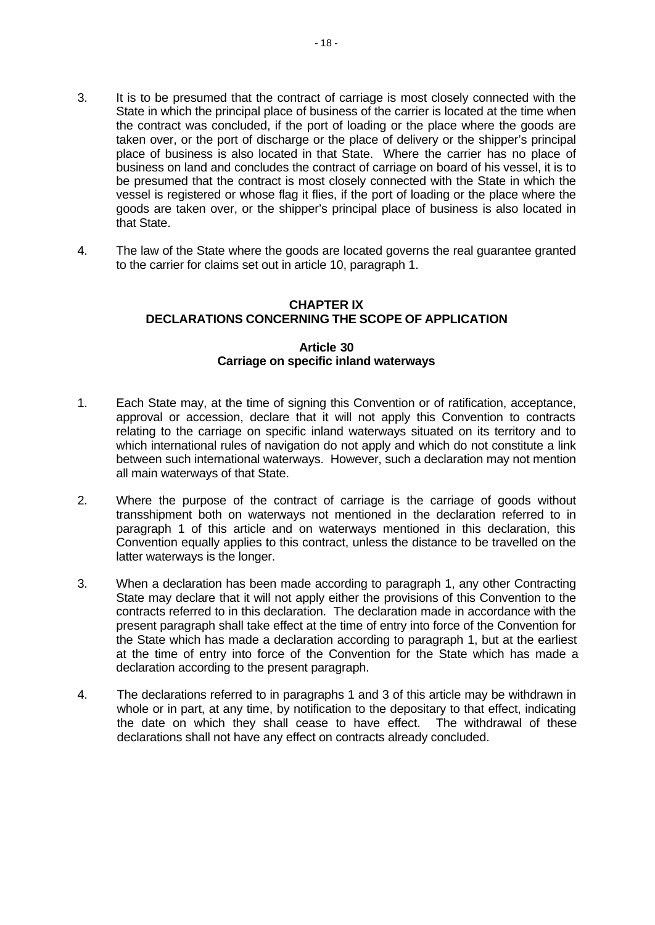- 3. It is to be presumed that the contract of carriage is most closely connected with the State in which the principal place of business of the carrier is located at the time when the contract was concluded, if the port of loading or the place where the goods are taken over, or the port of discharge or the place of delivery or the shipper's principal place of business is also located in that State. Where the carrier has no place of business on land and concludes the contract of carriage on board of his vessel, it is to be presumed that the contract is most closely connected with the State in which the vessel is registered or whose flag it flies, if the port of loading or the place where the goods are taken over, or the shipper's principal place of business is also located in that State.
- 4. The law of the State where the goods are located governs the real guarantee granted to the carrier for claims set out in article 10, paragraph 1.

# **CHAPTER IX DECLARATIONS CONCERNING THE SCOPE OF APPLICATION**

# **Article 30 Carriage on specific inland waterways**

- 1. Each State may, at the time of signing this Convention or of ratification, acceptance, approval or accession, declare that it will not apply this Convention to contracts relating to the carriage on specific inland waterways situated on its territory and to which international rules of navigation do not apply and which do not constitute a link between such international waterways. However, such a declaration may not mention all main waterways of that State.
- 2. Where the purpose of the contract of carriage is the carriage of goods without transshipment both on waterways not mentioned in the declaration referred to in paragraph 1 of this article and on waterways mentioned in this declaration, this Convention equally applies to this contract, unless the distance to be travelled on the latter waterways is the longer.
- 3. When a declaration has been made according to paragraph 1, any other Contracting State may declare that it will not apply either the provisions of this Convention to the contracts referred to in this declaration. The declaration made in accordance with the present paragraph shall take effect at the time of entry into force of the Convention for the State which has made a declaration according to paragraph 1, but at the earliest at the time of entry into force of the Convention for the State which has made a declaration according to the present paragraph.
- 4. The declarations referred to in paragraphs 1 and 3 of this article may be withdrawn in whole or in part, at any time, by notification to the depositary to that effect, indicating the date on which they shall cease to have effect. The withdrawal of these declarations shall not have any effect on contracts already concluded.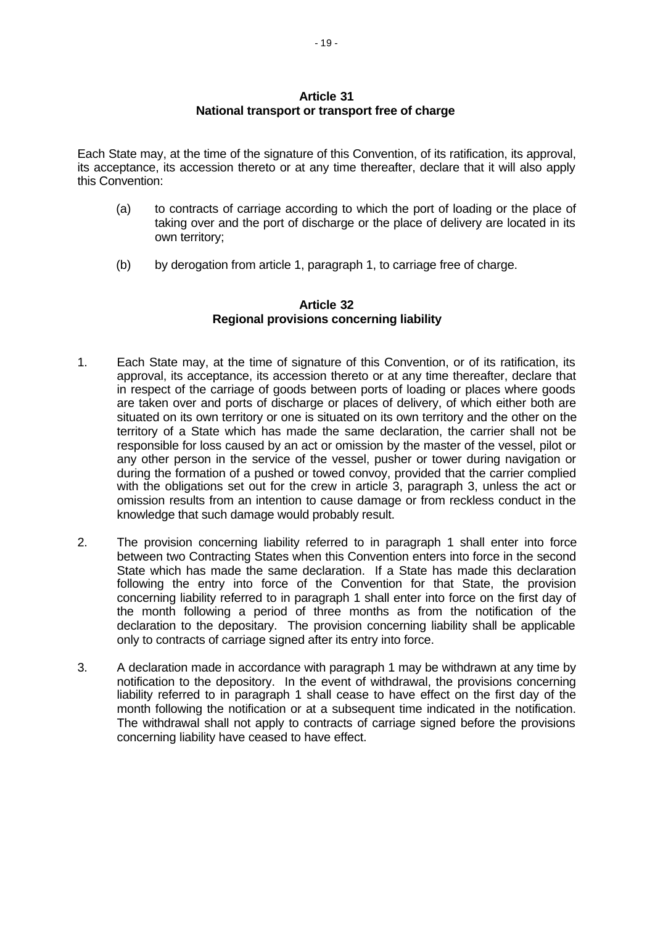# **Article 31 National transport or transport free of charge**

Each State may, at the time of the signature of this Convention, of its ratification, its approval, its acceptance, its accession thereto or at any time thereafter, declare that it will also apply this Convention:

- (a) to contracts of carriage according to which the port of loading or the place of taking over and the port of discharge or the place of delivery are located in its own territory;
- (b) by derogation from article 1, paragraph 1, to carriage free of charge.

# **Article 32 Regional provisions concerning liability**

- 1. Each State may, at the time of signature of this Convention, or of its ratification, its approval, its acceptance, its accession thereto or at any time thereafter, declare that in respect of the carriage of goods between ports of loading or places where goods are taken over and ports of discharge or places of delivery, of which either both are situated on its own territory or one is situated on its own territory and the other on the territory of a State which has made the same declaration, the carrier shall not be responsible for loss caused by an act or omission by the master of the vessel, pilot or any other person in the service of the vessel, pusher or tower during navigation or during the formation of a pushed or towed convoy, provided that the carrier complied with the obligations set out for the crew in article 3, paragraph 3, unless the act or omission results from an intention to cause damage or from reckless conduct in the knowledge that such damage would probably result.
- 2. The provision concerning liability referred to in paragraph 1 shall enter into force between two Contracting States when this Convention enters into force in the second State which has made the same declaration. If a State has made this declaration following the entry into force of the Convention for that State, the provision concerning liability referred to in paragraph 1 shall enter into force on the first day of the month following a period of three months as from the notification of the declaration to the depositary. The provision concerning liability shall be applicable only to contracts of carriage signed after its entry into force.
- 3. A declaration made in accordance with paragraph 1 may be withdrawn at any time by notification to the depository. In the event of withdrawal, the provisions concerning liability referred to in paragraph 1 shall cease to have effect on the first day of the month following the notification or at a subsequent time indicated in the notification. The withdrawal shall not apply to contracts of carriage signed before the provisions concerning liability have ceased to have effect.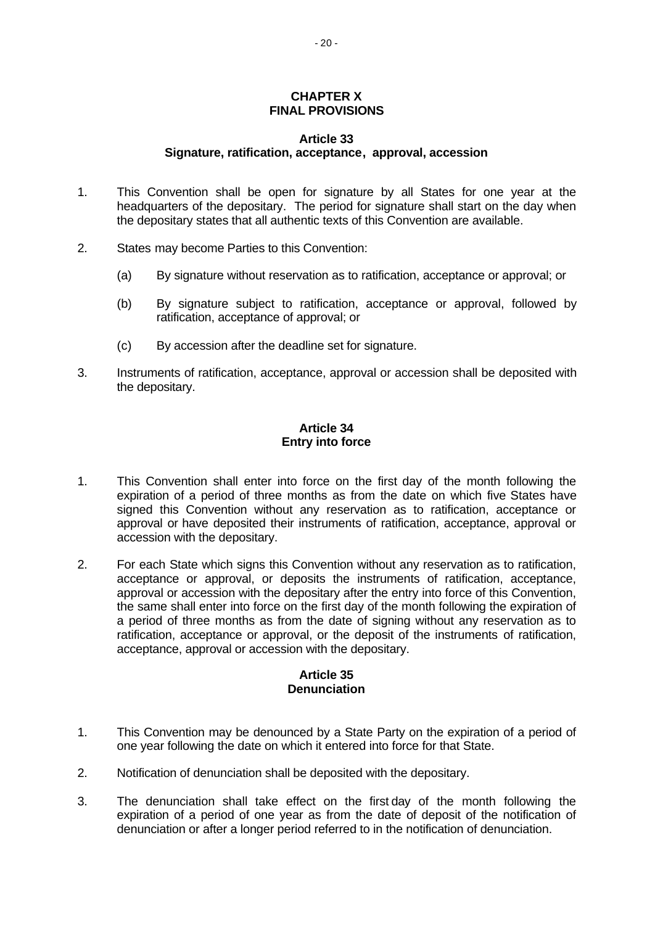## **CHAPTER X FINAL PROVISIONS**

#### **Article 33 Signature, ratification, acceptance, approval, accession**

- 1. This Convention shall be open for signature by all States for one year at the headquarters of the depositary. The period for signature shall start on the day when the depositary states that all authentic texts of this Convention are available.
- 2. States may become Parties to this Convention:
	- (a) By signature without reservation as to ratification, acceptance or approval; or
	- (b) By signature subject to ratification, acceptance or approval, followed by ratification, acceptance of approval; or
	- (c) By accession after the deadline set for signature.
- 3. Instruments of ratification, acceptance, approval or accession shall be deposited with the depositary.

# **Article 34 Entry into force**

- 1. This Convention shall enter into force on the first day of the month following the expiration of a period of three months as from the date on which five States have signed this Convention without any reservation as to ratification, acceptance or approval or have deposited their instruments of ratification, acceptance, approval or accession with the depositary.
- 2. For each State which signs this Convention without any reservation as to ratification, acceptance or approval, or deposits the instruments of ratification, acceptance, approval or accession with the depositary after the entry into force of this Convention, the same shall enter into force on the first day of the month following the expiration of a period of three months as from the date of signing without any reservation as to ratification, acceptance or approval, or the deposit of the instruments of ratification, acceptance, approval or accession with the depositary.

# **Article 35 Denunciation**

- 1. This Convention may be denounced by a State Party on the expiration of a period of one year following the date on which it entered into force for that State.
- 2. Notification of denunciation shall be deposited with the depositary.
- 3. The denunciation shall take effect on the first day of the month following the expiration of a period of one year as from the date of deposit of the notification of denunciation or after a longer period referred to in the notification of denunciation.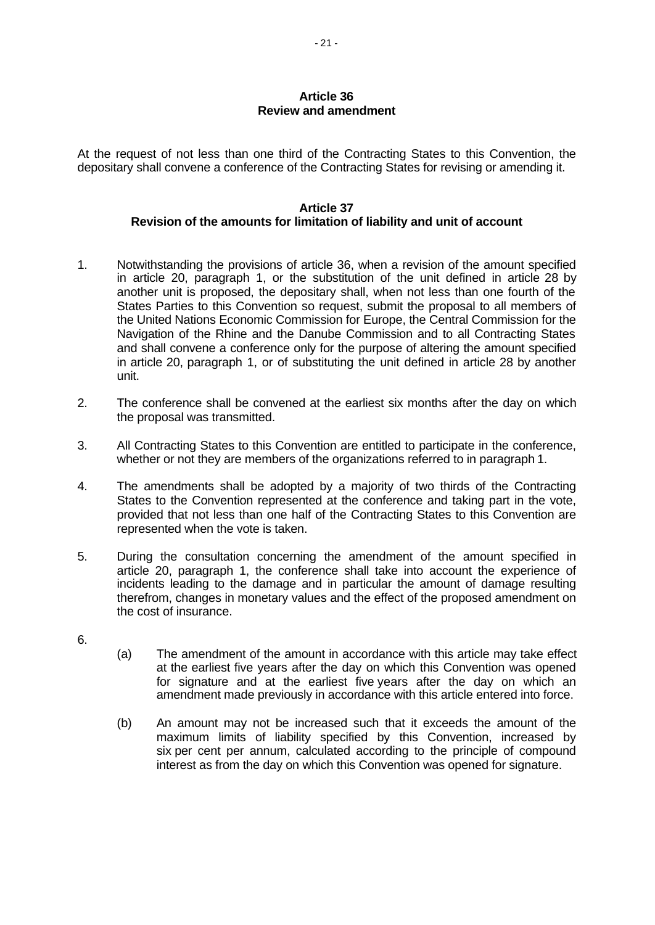# **Article 36 Review and amendment**

At the request of not less than one third of the Contracting States to this Convention, the depositary shall convene a conference of the Contracting States for revising or amending it.

# **Article 37 Revision of the amounts for limitation of liability and unit of account**

- 1. Notwithstanding the provisions of article 36, when a revision of the amount specified in article 20, paragraph 1, or the substitution of the unit defined in article 28 by another unit is proposed, the depositary shall, when not less than one fourth of the States Parties to this Convention so request, submit the proposal to all members of the United Nations Economic Commission for Europe, the Central Commission for the Navigation of the Rhine and the Danube Commission and to all Contracting States and shall convene a conference only for the purpose of altering the amount specified in article 20, paragraph 1, or of substituting the unit defined in article 28 by another unit.
- 2. The conference shall be convened at the earliest six months after the day on which the proposal was transmitted.
- 3. All Contracting States to this Convention are entitled to participate in the conference, whether or not they are members of the organizations referred to in paragraph 1.
- 4. The amendments shall be adopted by a majority of two thirds of the Contracting States to the Convention represented at the conference and taking part in the vote, provided that not less than one half of the Contracting States to this Convention are represented when the vote is taken.
- 5. During the consultation concerning the amendment of the amount specified in article 20, paragraph 1, the conference shall take into account the experience of incidents leading to the damage and in particular the amount of damage resulting therefrom, changes in monetary values and the effect of the proposed amendment on the cost of insurance.
- 6.
- (a) The amendment of the amount in accordance with this article may take effect at the earliest five years after the day on which this Convention was opened for signature and at the earliest five years after the day on which an amendment made previously in accordance with this article entered into force.
- (b) An amount may not be increased such that it exceeds the amount of the maximum limits of liability specified by this Convention, increased by six per cent per annum, calculated according to the principle of compound interest as from the day on which this Convention was opened for signature.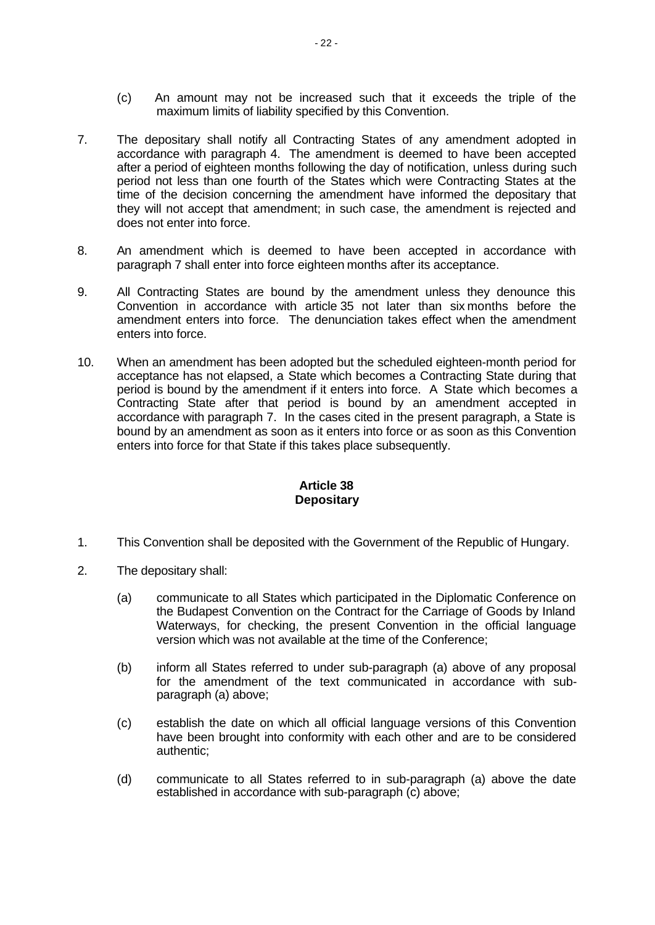- (c) An amount may not be increased such that it exceeds the triple of the maximum limits of liability specified by this Convention.
- 7. The depositary shall notify all Contracting States of any amendment adopted in accordance with paragraph 4. The amendment is deemed to have been accepted after a period of eighteen months following the day of notification, unless during such period not less than one fourth of the States which were Contracting States at the time of the decision concerning the amendment have informed the depositary that they will not accept that amendment; in such case, the amendment is rejected and does not enter into force.
- 8. An amendment which is deemed to have been accepted in accordance with paragraph 7 shall enter into force eighteen months after its acceptance.
- 9. All Contracting States are bound by the amendment unless they denounce this Convention in accordance with article 35 not later than six months before the amendment enters into force. The denunciation takes effect when the amendment enters into force.
- 10. When an amendment has been adopted but the scheduled eighteen-month period for acceptance has not elapsed, a State which becomes a Contracting State during that period is bound by the amendment if it enters into force. A State which becomes a Contracting State after that period is bound by an amendment accepted in accordance with paragraph 7. In the cases cited in the present paragraph, a State is bound by an amendment as soon as it enters into force or as soon as this Convention enters into force for that State if this takes place subsequently.

# **Article 38 Depositary**

- 1. This Convention shall be deposited with the Government of the Republic of Hungary.
- 2. The depositary shall:
	- (a) communicate to all States which participated in the Diplomatic Conference on the Budapest Convention on the Contract for the Carriage of Goods by Inland Waterways, for checking, the present Convention in the official language version which was not available at the time of the Conference;
	- (b) inform all States referred to under sub-paragraph (a) above of any proposal for the amendment of the text communicated in accordance with subparagraph (a) above;
	- (c) establish the date on which all official language versions of this Convention have been brought into conformity with each other and are to be considered authentic;
	- (d) communicate to all States referred to in sub-paragraph (a) above the date established in accordance with sub-paragraph (c) above;